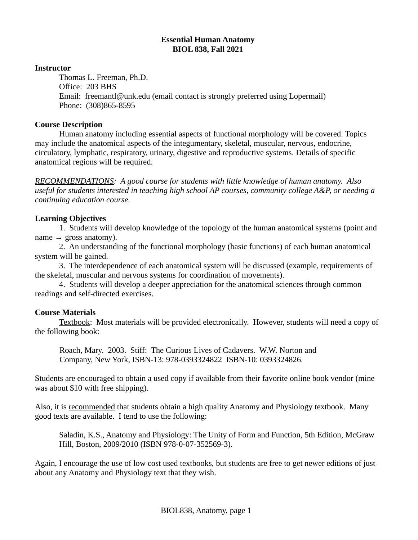## **Essential Human Anatomy BIOL 838, Fall 2021**

#### **Instructor**

Thomas L. Freeman, Ph.D. Office: 203 BHS Email: freemantl@unk.edu (email contact is strongly preferred using Lopermail) Phone: (308)865-8595

#### **Course Description**

Human anatomy including essential aspects of functional morphology will be covered. Topics may include the anatomical aspects of the integumentary, skeletal, muscular, nervous, endocrine, circulatory, lymphatic, respiratory, urinary, digestive and reproductive systems. Details of specific anatomical regions will be required.

*RECOMMENDATIONS: A good course for students with little knowledge of human anatomy. Also useful for students interested in teaching high school AP courses, community college A&P, or needing a continuing education course.*

## **Learning Objectives**

1. Students will develop knowledge of the topology of the human anatomical systems (point and name  $\rightarrow$  gross anatomy).

2. An understanding of the functional morphology (basic functions) of each human anatomical system will be gained.

3. The interdependence of each anatomical system will be discussed (example, requirements of the skeletal, muscular and nervous systems for coordination of movements).

4. Students will develop a deeper appreciation for the anatomical sciences through common readings and self-directed exercises.

## **Course Materials**

Textbook: Most materials will be provided electronically. However, students will need a copy of the following book:

Roach, Mary. 2003. Stiff: The Curious Lives of Cadavers. W.W. Norton and Company, New York, ISBN-13: 978-0393324822 ISBN-10: 0393324826.

Students are encouraged to obtain a used copy if available from their favorite online book vendor (mine was about \$10 with free shipping).

Also, it is recommended that students obtain a high quality Anatomy and Physiology textbook. Many good texts are available. I tend to use the following:

Saladin, K.S., Anatomy and Physiology: The Unity of Form and Function, 5th Edition, McGraw Hill, Boston, 2009/2010 (ISBN 978-0-07-352569-3).

Again, I encourage the use of low cost used textbooks, but students are free to get newer editions of just about any Anatomy and Physiology text that they wish.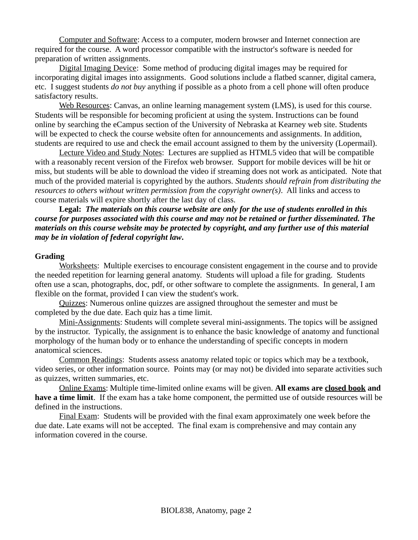Computer and Software: Access to a computer, modern browser and Internet connection are required for the course. A word processor compatible with the instructor's software is needed for preparation of written assignments.

Digital Imaging Device: Some method of producing digital images may be required for incorporating digital images into assignments. Good solutions include a flatbed scanner, digital camera, etc. I suggest students *do not buy* anything if possible as a photo from a cell phone will often produce satisfactory results.

Web Resources: Canvas, an online learning management system (LMS), is used for this course. Students will be responsible for becoming proficient at using the system. Instructions can be found online by searching the eCampus section of the University of Nebraska at Kearney web site. Students will be expected to check the course website often for announcements and assignments. In addition, students are required to use and check the email account assigned to them by the university (Lopermail).

 Lecture Video and Study Notes: Lectures are supplied as HTML5 video that will be compatible with a reasonably recent version of the Firefox web browser. Support for mobile devices will be hit or miss, but students will be able to download the video if streaming does not work as anticipated. Note that much of the provided material is copyrighted by the authors. *Students should refrain from distributing the resources to others without written permission from the copyright owner(s)*. All links and access to course materials will expire shortly after the last day of class.

**Legal:** *The materials on this course website are only for the use of students enrolled in this course for purposes associated with this course and may not be retained or further disseminated. The materials on this course website may be protected by copyright, and any further use of this material may be in violation of federal copyright law***.**

#### **Grading**

Worksheets: Multiple exercises to encourage consistent engagement in the course and to provide the needed repetition for learning general anatomy. Students will upload a file for grading. Students often use a scan, photographs, doc, pdf, or other software to complete the assignments. In general, I am flexible on the format, provided I can view the student's work.

Quizzes: Numerous online quizzes are assigned throughout the semester and must be completed by the due date. Each quiz has a time limit.

Mini-Assignments: Students will complete several mini-assignments. The topics will be assigned by the instructor. Typically, the assignment is to enhance the basic knowledge of anatomy and functional morphology of the human body or to enhance the understanding of specific concepts in modern anatomical sciences.

Common Readings: Students assess anatomy related topic or topics which may be a textbook, video series, or other information source. Points may (or may not) be divided into separate activities such as quizzes, written summaries, etc.

Online Exams: Multiple time-limited online exams will be given. **All exams are closed book and have a time limit**. If the exam has a take home component, the permitted use of outside resources will be defined in the instructions.

 Final Exam: Students will be provided with the final exam approximately one week before the due date. Late exams will not be accepted. The final exam is comprehensive and may contain any information covered in the course.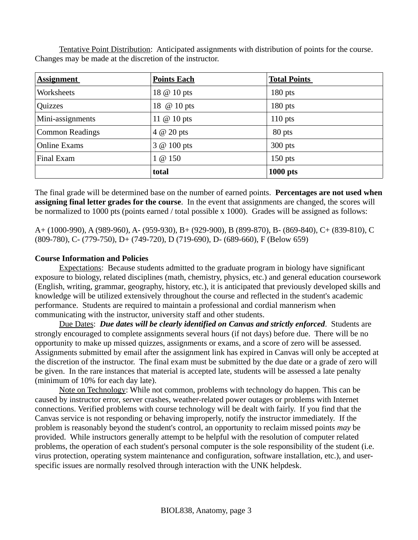Tentative Point Distribution: Anticipated assignments with distribution of points for the course. Changes may be made at the discretion of the instructor.

| <b>Assignment</b>      | <b>Points Each</b>  | <b>Total Points</b> |
|------------------------|---------------------|---------------------|
| Worksheets             | 18 @ 10 pts         | $180$ pts           |
| Quizzes                | 18 @ 10 pts         | $180$ pts           |
| Mini-assignments       | 11 $\omega$ 10 pts  | $110$ pts           |
| <b>Common Readings</b> | $4$ $\omega$ 20 pts | 80 pts              |
| <b>Online Exams</b>    | $3 @ 100$ pts       | $300$ pts           |
| Final Exam             | $1 \omega 150$      | $150$ pts           |
|                        | total               | <b>1000 pts</b>     |

The final grade will be determined base on the number of earned points. **Percentages are not used when assigning final letter grades for the course**. In the event that assignments are changed, the scores will be normalized to 1000 pts (points earned / total possible x 1000). Grades will be assigned as follows:

A+ (1000-990), A (989-960), A- (959-930), B+ (929-900), B (899-870), B- (869-840), C+ (839-810), C (809-780), C- (779-750), D+ (749-720), D (719-690), D- (689-660), F (Below 659)

# **Course Information and Policies**

Expectations: Because students admitted to the graduate program in biology have significant exposure to biology, related disciplines (math, chemistry, physics, etc.) and general education coursework (English, writing, grammar, geography, history, etc.), it is anticipated that previously developed skills and knowledge will be utilized extensively throughout the course and reflected in the student's academic performance. Students are required to maintain a professional and cordial mannerism when communicating with the instructor, university staff and other students.

Due Dates: *Due dates will be clearly identified on Canvas and strictly enforced*. Students are strongly encouraged to complete assignments several hours (if not days) before due. There will be no opportunity to make up missed quizzes, assignments or exams, and a score of zero will be assessed. Assignments submitted by email after the assignment link has expired in Canvas will only be accepted at the discretion of the instructor. The final exam must be submitted by the due date or a grade of zero will be given. In the rare instances that material is accepted late, students will be assessed a late penalty (minimum of 10% for each day late).

Note on Technology: While not common, problems with technology do happen. This can be caused by instructor error, server crashes, weather-related power outages or problems with Internet connections. Verified problems with course technology will be dealt with fairly. If you find that the Canvas service is not responding or behaving improperly, notify the instructor immediately. If the problem is reasonably beyond the student's control, an opportunity to reclaim missed points *may* be provided. While instructors generally attempt to be helpful with the resolution of computer related problems, the operation of each student's personal computer is the sole responsibility of the student (i.e. virus protection, operating system maintenance and configuration, software installation, etc.), and userspecific issues are normally resolved through interaction with the UNK helpdesk.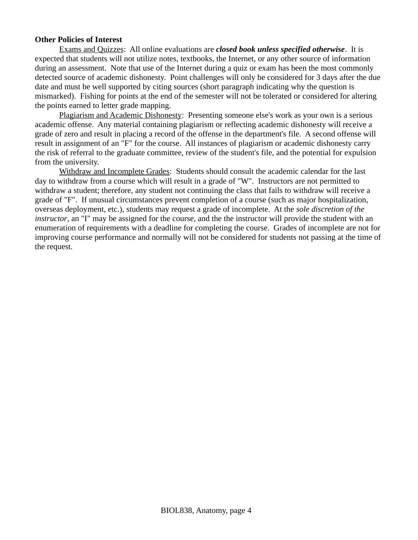## **Other Policies of Interest**

Exams and Quizzes: All online evaluations are *closed book unless specified otherwise*. It is expected that students will not utilize notes, textbooks, the Internet, or any other source of information during an assessment. Note that use of the Internet during a quiz or exam has been the most commonly detected source of academic dishonesty. Point challenges will only be considered for 3 days after the due date and must be well supported by citing sources (short paragraph indicating why the question is mismarked). Fishing for points at the end of the semester will not be tolerated or considered for altering the points earned to letter grade mapping.

Plagiarism and Academic Dishonesty: Presenting someone else's work as your own is a serious academic offense. Any material containing plagiarism or reflecting academic dishonesty will receive a grade of zero and result in placing a record of the offense in the department's file. A second offense will result in assignment of an "F" for the course. All instances of plagiarism or academic dishonesty carry the risk of referral to the graduate committee, review of the student's file, and the potential for expulsion from the university.

Withdraw and Incomplete Grades: Students should consult the academic calendar for the last day to withdraw from a course which will result in a grade of "W". Instructors are not permitted to withdraw a student; therefore, any student not continuing the class that fails to withdraw will receive a grade of "F". If unusual circumstances prevent completion of a course (such as major hospitalization, overseas deployment, etc.), students may request a grade of incomplete. At the *sole discretion of the instructor*, an "I" may be assigned for the course, and the the instructor will provide the student with an enumeration of requirements with a deadline for completing the course. Grades of incomplete are not for improving course performance and normally will not be considered for students not passing at the time of the request.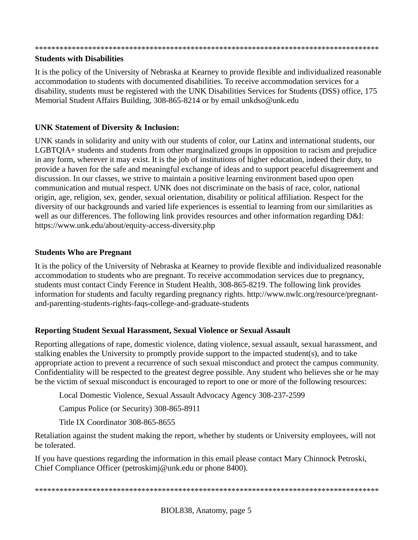#### \*\*\*\*\*\*\*\*\*\*\*\*\*\*\*\*\*\*\*\*\*\*\*\*\*\*\*\*\*\*\*\*\*\*\*\*\*\*\*\*\*\*\*\*\*\*\*\*\*\*\*\*\*\*\*\*\*\*\*\*\*\*\*\*\*\*\*\*\*\*\*\*\*\*\*\*\*\*\*\*\*\*\*\*

## **Students with Disabilities**

It is the policy of the University of Nebraska at Kearney to provide flexible and individualized reasonable accommodation to students with documented disabilities. To receive accommodation services for a disability, students must be registered with the UNK Disabilities Services for Students (DSS) office, 175 Memorial Student Affairs Building, 308-865-8214 or by email unkdso@unk.edu

# **UNK Statement of Diversity & Inclusion:**

UNK stands in solidarity and unity with our students of color, our Latinx and international students, our LGBTQIA+ students and students from other marginalized groups in opposition to racism and prejudice in any form, wherever it may exist. It is the job of institutions of higher education, indeed their duty, to provide a haven for the safe and meaningful exchange of ideas and to support peaceful disagreement and discussion. In our classes, we strive to maintain a positive learning environment based upon open communication and mutual respect. UNK does not discriminate on the basis of race, color, national origin, age, religion, sex, gender, sexual orientation, disability or political affiliation. Respect for the diversity of our backgrounds and varied life experiences is essential to learning from our similarities as well as our differences. The following link provides resources and other information regarding D&I: https://www.unk.edu/about/equity-access-diversity.php

## **Students Who are Pregnant**

It is the policy of the University of Nebraska at Kearney to provide flexible and individualized reasonable accommodation to students who are pregnant. To receive accommodation services due to pregnancy, students must contact Cindy Ference in Student Health, 308-865-8219. The following link provides information for students and faculty regarding pregnancy rights. http://www.nwlc.org/resource/pregnantand-parenting-students-rights-faqs-college-and-graduate-students

# **Reporting Student Sexual Harassment, Sexual Violence or Sexual Assault**

Reporting allegations of rape, domestic violence, dating violence, sexual assault, sexual harassment, and stalking enables the University to promptly provide support to the impacted student(s), and to take appropriate action to prevent a recurrence of such sexual misconduct and protect the campus community. Confidentiality will be respected to the greatest degree possible. Any student who believes she or he may be the victim of sexual misconduct is encouraged to report to one or more of the following resources:

Local Domestic Violence, Sexual Assault Advocacy Agency 308-237-2599

Campus Police (or Security) 308-865-8911

Title IX Coordinator 308-865-8655

Retaliation against the student making the report, whether by students or University employees, will not be tolerated.

If you have questions regarding the information in this email please contact Mary Chinnock Petroski, Chief Compliance Officer (petroskimj@unk.edu or phone 8400).

#### \*\*\*\*\*\*\*\*\*\*\*\*\*\*\*\*\*\*\*\*\*\*\*\*\*\*\*\*\*\*\*\*\*\*\*\*\*\*\*\*\*\*\*\*\*\*\*\*\*\*\*\*\*\*\*\*\*\*\*\*\*\*\*\*\*\*\*\*\*\*\*\*\*\*\*\*\*\*\*\*\*\*\*\*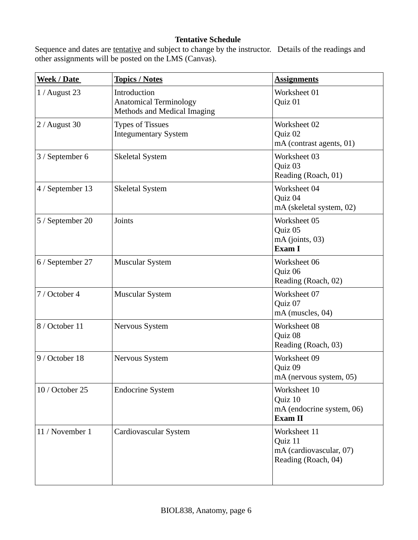# **Tentative Schedule**

Sequence and dates are **tentative** and subject to change by the instructor. Details of the readings and other assignments will be posted on the LMS (Canvas).

| <b>Week / Date</b> | <b>Topics / Notes</b>                                                        | <b>Assignments</b>                                                        |
|--------------------|------------------------------------------------------------------------------|---------------------------------------------------------------------------|
| $1/$ August 23     | Introduction<br><b>Anatomical Terminology</b><br>Methods and Medical Imaging | Worksheet 01<br>Quiz 01                                                   |
| 2 / August 30      | <b>Types of Tissues</b><br><b>Integumentary System</b>                       | Worksheet 02<br>Quiz 02<br>mA (contrast agents, 01)                       |
| 3 / September 6    | <b>Skeletal System</b>                                                       | Worksheet 03<br>Quiz 03<br>Reading (Roach, 01)                            |
| 4 / September 13   | <b>Skeletal System</b>                                                       | Worksheet 04<br>Quiz 04<br>mA (skeletal system, 02)                       |
| 5 / September 20   | Joints                                                                       | Worksheet 05<br>Quiz 05<br>$mA$ (joints, 03)<br>Exam I                    |
| 6 / September 27   | <b>Muscular System</b>                                                       | Worksheet 06<br>Quiz 06<br>Reading (Roach, 02)                            |
| 7 / October 4      | <b>Muscular System</b>                                                       | Worksheet 07<br>Quiz 07<br>mA (muscles, 04)                               |
| 8 / October 11     | Nervous System                                                               | Worksheet 08<br>Quiz 08<br>Reading (Roach, 03)                            |
| 9 / October 18     | Nervous System                                                               | Worksheet 09<br>Quiz 09<br>mA (nervous system, 05)                        |
| 10 / October 25    | <b>Endocrine System</b>                                                      | Worksheet 10<br>Quiz 10<br>mA (endocrine system, 06)<br>Exam II           |
| 11 / November 1    | Cardiovascular System                                                        | Worksheet 11<br>Quiz 11<br>mA (cardiovascular, 07)<br>Reading (Roach, 04) |